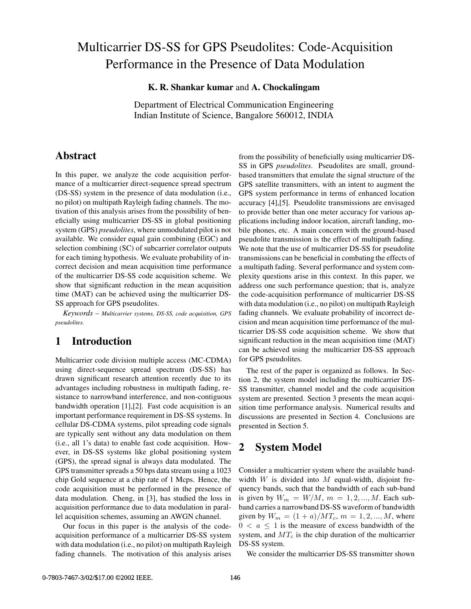# Multicarrier DS-SS for GPS Pseudolites: Code-Acquisition Performance in the Presence of Data Modulation

**K. R. Shankar kumar** and **A. Chockalingam**

Department of Electrical Communication Engineering Indian Institute of Science, Bangalore 560012, INDIA

# **Abstract**

In this paper, we analyze the code acquisition performance of a multicarrier direct-sequence spread spectrum (DS-SS) system in the presence of data modulation (i.e., no pilot) on multipath Rayleigh fading channels. The motivation of this analysis arises from the possibility of beneficially using multicarrier DS-SS in global positioning system (GPS) *pseudolites*, where unmodulated pilot is not available. We consider equal gain combining (EGC) and selection combining (SC) of subcarrier correlator outputs for each timing hypothesis. We evaluate probability of incorrect decision and mean acquisition time performance of the multicarrier DS-SS code acquisition scheme. We show that significant reduction in the mean acquisition time (MAT) can be achieved using the multicarrier DS-SS approach for GPS pseudolites.

*Keywords – Multicarrier systems, DS-SS, code acquisition, GPS pseudolites.*

## **1 Introduction**

Multicarrier code division multiple access (MC-CDMA) using direct-sequence spread spectrum (DS-SS) has drawn significant research attention recently due to its advantages including robustness in multipath fading, resistance to narrowband interference, and non-contiguous bandwidth operation [1],[2]. Fast code acquisition is an important performance requirement in DS-SS systems. In cellular DS-CDMA systems, pilot spreading code signals are typically sent without any data modulation on them (i.e., all 1's data) to enable fast code acquisition. However, in DS-SS systems like global positioning system (GPS), the spread signal is always data modulated. The GPS transmitter spreads a 50 bps data stream using a 1023 chip Gold sequence at a chip rate of 1 Mcps. Hence, the code acquisition must be performed in the presence of data modulation. Cheng, in [3], has studied the loss in acquisition performance due to data modulation in parallel acquisition schemes, assuming an AWGN channel.

Our focus in this paper is the analysis of the codeacquisition performance of a multicarrier DS-SS system with data modulation (i.e., no pilot) on multipath Rayleigh fading channels. The motivation of this analysis arises

from the possibility of beneficially using multicarrier DS-SS in GPS *pseudolites*. Pseudolites are small, groundbased transmitters that emulate the signal structure of the GPS satellite transmitters, with an intent to augment the GPS system performance in terms of enhanced location accuracy [4],[5]. Pseudolite transmissions are envisaged to provide better than one meter accuracy for various applications including indoor location, aircraft landing, mobile phones, etc. A main concern with the ground-based pseudolite transmission is the effect of multipath fading. We note that the use of multicarrier DS-SS for pseudolite transmissions can be beneficial in combating the effects of a multipath fading. Several performance and system complexity questions arise in this context. In this paper, we address one such performance question; that is, analyze the code-acquisition performance of multicarrier DS-SS with data modulation (i.e., no pilot) on multipath Rayleigh fading channels. We evaluate probability of incorrect decision and mean acquisition time performance of the multicarrier DS-SS code acquisition scheme. We show that significant reduction in the mean acquisition time (MAT) can be achieved using the multicarrier DS-SS approach for GPS pseudolites.

The rest of the paper is organized as follows. In Section 2, the system model including the multicarrier DS-SS transmitter, channel model and the code acquisition system are presented. Section 3 presents the mean acquisition time performance analysis. Numerical results and discussions are presented in Section 4. Conclusions are presented in Section 5.

# **2 System Model**

Consider a multicarrier system where the available bandwidth  $W$  is divided into  $M$  equal-width, disjoint frequency bands, such that the bandwidth of each sub-band is given by  $W_m = W/M$ ,  $m = 1, 2, ..., M$ . Each subband carries a narrowband DS-SS waveform of bandwidth given by  $W_m = (1 + a)/MT_c$ ,  $m = 1, 2, ..., M$ , where  $0 < a \leq 1$  is the measure of excess bandwidth of the system, and  $MT_c$  is the chip duration of the multicarrier DS-SS system.

We consider the multicarrier DS-SS transmitter shown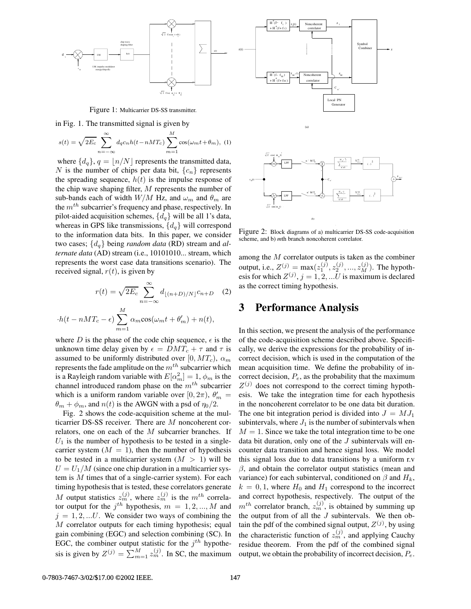

Figure 1: Multicarrier DS-SS transmitter.

in Fig. 1. The transmitted signal is given by

$$
s(t) = \sqrt{2E_c} \sum_{n = -\infty}^{\infty} d_q c_n h(t - nMT_c) \sum_{m=1}^{M} \cos(\omega_m t + \theta_m),
$$
 (1)

where  $\{d_q\}$ ,  $q = |n/N|$  represents the transmitted data, N is the number of chips per data bit,  ${c_n}$  represents the spreading sequence,  $h(t)$  is the impulse response of the chip wave shaping filter, M represents the number of sub-bands each of width  $W/M$  Hz, and  $\omega_m$  and  $\theta_m$  are the  $m<sup>th</sup>$  subcarrier's frequency and phase, respectively. In pilot-aided acquisition schemes,  $\{d_a\}$  will be all 1's data, whereas in GPS like transmissions,  $\{d_q\}$  will correspond to the information data bits. In this paper, we consider two cases; {dq} being *random data* (RD) stream and *alternate data* (AD) stream (i.e., 10101010... stream, which represents the worst case data transitions scenario). The received signal,  $r(t)$ , is given by

$$
r(t) = \sqrt{2E_c} \sum_{n = -\infty}^{\infty} d_{\lfloor (n+D)/N \rfloor} c_{n+D} \quad (2)
$$

$$
\cdot h(t - nMT_c - \epsilon) \sum_{m}^M \alpha_m \cos(\omega_m t + \theta'_m) + n(t),
$$

where D is the phase of the code chip sequence,  $\epsilon$  is the unknown time delay given by  $\epsilon = DMT_c + \tau$  and  $\tau$  is assumed to be uniformly distributed over [0,  $MT_c$ ),  $\alpha_m$ represents the fade amplitude on the  $m^{th}$  subcarrier which is a Rayleigh random variable with  $E[\alpha_m^2] = 1$ ,  $\phi_m$  is the channel introduced random phase on the  $m<sup>th</sup>$  subcarrier which is a uniform random variable over [0,  $2\pi$ ),  $\theta'_m$  =  $\theta_m + \phi_m$ , and  $n(t)$  is the AWGN with a psd of  $\eta_0/2$ .

 $\overline{m=1}$ 

Fig. 2 shows the code-acquisition scheme at the multicarrier DS-SS receiver. There are M noncoherent correlators, one on each of the M subcarrier branches. If  $U_1$  is the number of hypothesis to be tested in a singlecarrier system  $(M = 1)$ , then the number of hypothesis to be tested in a multicarrier system  $(M > 1)$  will be  $U = U_1/M$  (since one chip duration in a multicarrier system is  $M$  times that of a single-carrier system). For each timing hypothesis that is tested, these correlators generate M output statistics  $z_m^{(j)}$ , where  $z_m^{(j)}$  is the  $m^{th}$  correlator output for the  $j<sup>th</sup>$  hypothesis,  $m = 1, 2, ..., M$  and  $j = 1, 2, ...U$ . We consider two ways of combining the M correlator outputs for each timing hypothesis; equal gain combining (EGC) and selection combining (SC). In EGC, the combiner output statistic for the  $j<sup>th</sup>$  hypothesis is given by  $Z^{(j)} = \sum_{m=1}^{M} z_m^{(j)}$ . In SC, the maximum



Figure 2: Block diagrams of a) multicarrier DS-SS code-acquisition scheme, and b) *m*th branch noncoherent correlator.

among the M correlator outputs is taken as the combiner output, i.e.,  $Z^{(j)} = \max(z_1^{(j)}, z_2^{(j)}, ..., z_M^{(j)})$ . The hypothesis for which  $Z^{(j)}$ ,  $j = 1, 2, ...U$  is maximum is declared as the correct timing hypothesis.

### **3 Performance Analysis**

In this section, we present the analysis of the performance of the code-acquisition scheme described above. Specifically, we derive the expressions for the probability of incorrect decision, which is used in the computation of the mean acquisition time. We define the probability of incorrect decision,  $P_e$ , as the probability that the maximum  $Z^{(j)}$  does not correspond to the correct timing hypothesis. We take the integration time for each hypothesis in the noncoherent correlator to be one data bit duration. The one bit integration period is divided into  $J = MJ_1$ subintervals, where  $J_1$  is the number of subintervals when  $M = 1$ . Since we take the total integration time to be one data bit duration, only one of the  $J$  subintervals will encounter data transition and hence signal loss. We model this signal loss due to data transitions by a uniform r.v  $\beta$ , and obtain the correlator output statistics (mean and variance) for each subinterval, conditioned on  $\beta$  and  $H_k$ ,  $k = 0, 1$ , where  $H_0$  and  $H_1$  correspond to the incorrect and correct hypothesis, respectively. The output of the  $m^{th}$  correlator branch,  $z_m^{(j)}$ , is obtained by summing up the output from of all the  $J$  subintervals. We then obtain the pdf of the combined signal output,  $Z^{(j)}$ , by using the characteristic function of  $z_m^{(j)}$ , and applying Cauchy residue theorem. From the pdf of the combined signal output, we obtain the probability of incorrect decision,  $P_e$ .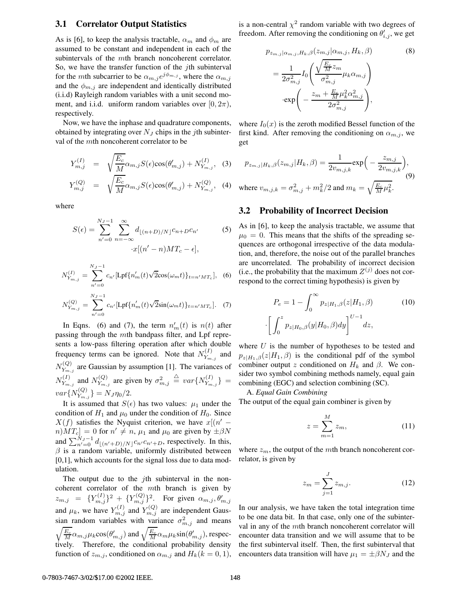#### **3.1 Correlator Output Statistics**

As is [6], to keep the analysis tractable,  $\alpha_m$  and  $\phi_m$  are assumed to be constant and independent in each of the subintervals of the mth branch noncoherent correlator. So, we have the transfer function of the  $j$ th subinterval for the mth subcarrier to be  $\alpha_{m,j}e^{j\phi_{m,j}}$ , where the  $\alpha_{m,j}$ and the  $\phi_{m,j}$  are independent and identically distributed (i.i.d) Rayleigh random variables with a unit second moment, and i.i.d. uniform random variables over  $(0, 2\pi)$ , respectively.

Now, we have the inphase and quadrature components, obtained by integrating over  $N_J$  chips in the jth subinterval of the mth noncoherent correlator to be

$$
Y_{m,j}^{(I)} = \sqrt{\frac{E_c}{M}} \alpha_{m,j} S(\epsilon) \cos(\theta'_{m,j}) + N_{Y_{m,j}}^{(I)}, \quad (3)
$$

$$
Y_{m,j}^{(Q)} = \sqrt{\frac{E_c}{M}} \alpha_{m,j} S(\epsilon) \cos(\theta'_{m,j}) + N_{Y_{m,j}}^{(Q)}, \quad (4)
$$

where

$$
S(\epsilon) = \sum_{n'=0}^{N_J - 1} \sum_{n=-\infty}^{\infty} d_{\lfloor (n+D)/N \rfloor} c_{n+D} c_{n'}
$$
(5)  

$$
x[(n'-n)MT_c - \epsilon],
$$

$$
N_{Y_{m,j}}^{(I)} = \sum_{n'=0}^{N_J - 1} c_{n'} [\text{Lpf}\{n'_m(t)\sqrt{2}\cos(\omega_m t)\}_{t = n'MT_c}], \quad (6)
$$

$$
N_{Y_{m,j}}^{(Q)} = \sum_{n'=0}^{N_J - 1} c_{n'} [\text{Lpf}\{n'_m(t)\sqrt{2}\text{sin}(\omega_m t)\}_{t = n'MT_c}]. \quad (7)
$$

In Eqns. (6) and (7), the term  $n'_m(t)$  is  $n(t)$  after passing through the mth bandpass filter, and Lpf represents a low-pass filtering operation after which double frequency terms can be ignored. Note that  $N_{Y_{m,j}}^{(I)}$  and  $N_{Y_{m,j}}^{(Q)}$  are Gaussian by assumption [1]. The variances of  $N_{Y_{m,j}}^{(I)}$  and  $N_{Y_{m,j}}^{(Q)}$  are given by  $\sigma_{m,j}^2 \triangleq var\{N_{Y_{m,j}}^{(I)}\}$  =  $var\{N_{Y_{m,j}}^{(Q)}\}=N_J\eta_0/2.$ 

It is assumed that  $S(\epsilon)$  has two values:  $\mu_1$  under the condition of  $H_1$  and  $\mu_0$  under the condition of  $H_0$ . Since  $X(f)$  satisfies the Nyquist criterion, we have  $x[(n'$  $n)MT_c|=0$  for  $n' \neq n$ ,  $\mu_1$  and  $\mu_0$  are given by  $\pm \beta N$ and  $\sum_{n'=0}^{N_J-1} d_{\lfloor (n'+D)/N \rfloor} c_{n'} c_{n'+D}$ , respectively. In this,  $\beta$  is a random variable, uniformly distributed between [0,1], which accounts for the signal loss due to data modulation.

The output due to the  $j$ th subinterval in the noncoherent correlator of the mth branch is given by  $z_{m,j} = \{Y_{m,j}^{(I)}\}^2 + \{Y_{m,j}^{(Q)}\}^2$ . For given  $\alpha_{m,j}, \theta'_{m,j}$ and  $\mu_k$ , we have  $Y_{m,j}^{(I)}$  and  $Y_{m,j}^{(Q)}$  are independent Gaussian random variables with variance  $\sigma_{m,j}^2$  and means  $\sqrt{\frac{E_c}{M}} \alpha_{m,j} \mu_k \cos(\theta'_{m,j})$  and  $\sqrt{\frac{E_c}{M}} \alpha_m \mu_k \sin(\theta'_{m,j})$ , respectively. Therefore, the conditional probability density function of  $z_{m,j}$ , conditioned on  $\alpha_{m,j}$  and  $H_k(k = 0, 1)$ , is a non-central  $\chi^2$  random variable with two degrees of freedom. After removing the conditioning on  $\theta'_{i,j}$ , we get

$$
p_{z_{m,j}|\alpha_{m,j},H_k,\beta}(z_{m,j}|\alpha_{m,j},H_k,\beta)
$$
\n
$$
=\frac{1}{2\sigma_{m,j}^2}I_0\left(\frac{\sqrt{\frac{E_c}{M}z_m}}{\sigma_{m,j}^2}\mu_k\alpha_{m,j}\right)
$$
\n
$$
\cdot \exp\left(-\frac{z_m + \frac{E_c}{M}\mu_k^2\alpha_{m,j}^2}{2\sigma_{m,j}^2}\right),
$$
\n(8)

where  $I_0(x)$  is the zeroth modified Bessel function of the first kind. After removing the conditioning on  $\alpha_{m,j}$ , we get

$$
p_{z_{m,j}|H_k,\beta}(z_{m,j}|H_k,\beta) = \frac{1}{2v_{m,j,k}} \exp\Big(-\frac{z_{m,j}}{2v_{m,j,k}}\Big),\,
$$
  
where  $v_{m,j,k} = \sigma_{m,j}^2 + m_k^2/2$  and  $m_k = \sqrt{\frac{E_c}{M}\mu_k^2}$ . (9)

#### **3.2 Probability of Incorrect Decision**

As in [6], to keep the analysis tractable, we assume that  $\mu_0 = 0$ . This means that the shifts of the spreading sequences are orthogonal irrespective of the data modulation, and, therefore, the noise out of the parallel branches are uncorrelated. The probability of incorrect decision (i.e., the probability that the maximum  $Z^{(j)}$  does not correspond to the correct timing hypothesis) is given by

$$
P_e = 1 - \int_0^\infty p_{z|H_1,\beta}(z|H_1,\beta)
$$
 (10)  

$$
\left[\int_0^z p_{z|H_0,\beta}(y|H_0,\beta)dy\right]^{U-1} dz,
$$

where  $U$  is the number of hypotheses to be tested and  $p_{z|H_1,\beta}(z|H_1,\beta)$  is the conditional pdf of the symbol combiner output z conditioned on  $H_k$  and  $\beta$ . We consider two symbol combining methods namely, equal gain combining (EGC) and selection combining (SC).

A. *Equal Gain Combining*

The output of the equal gain combiner is given by

$$
z = \sum_{m=1}^{M} z_m,\tag{11}
$$

where  $z_m$ , the output of the mth branch noncoherent correlator, is given by

$$
z_m = \sum_{j=1}^{J} z_{m,j}.
$$
 (12)

In our analysis, we have taken the total integration time to be one data bit. In that case, only one of the subinterval in any of the mth branch noncoherent correlator will encounter data transition and we will assume that to be the first subinterval itself. Then, the first subinterval that encounters data transition will have  $\mu_1 = \pm \beta N_J$  and the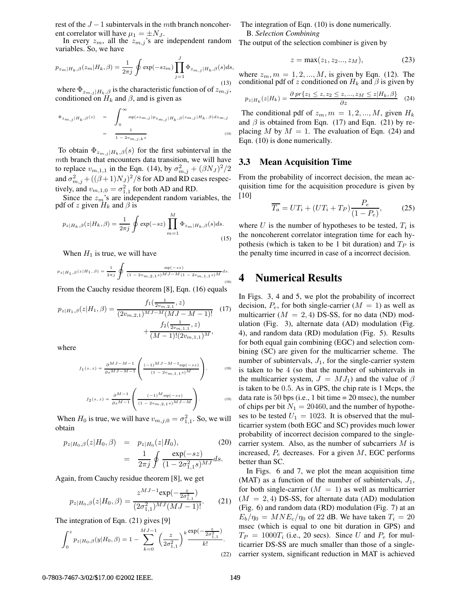rest of the  $J - 1$  subintervals in the *mth* branch noncoher-<br>ent correlator will have  $\mu_1 = \pm N_J$ .

In every  $z_m$ , all the  $z_{m,j}$ 's are independent random variables. So, we have

$$
p_{z_m|H_k,\beta}(z_m|H_k,\beta) = \frac{1}{2\pi j} \oint \exp(-sz_m) \prod_{j=1}^J \Phi_{z_{m,j}|H_k,\beta}(s)ds,
$$
\n(13)

where  $\Phi_{z_{m,j}|H_k,\beta}$  is the characteristic function of of  $z_{m,j}$ , conditioned on  $H_k$  and  $\beta$ , and is given as

$$
\Phi_{z_{m,j}|H_k,\beta}(s) = \int_0^\infty \exp(sz_{m,j}) p_{z_{m,j}|H_k,\beta}(z_{m,j}|H_k,\beta) dz_{m,j}
$$
  
= 
$$
\frac{1}{1 - 2v_{m,j,k}s}.
$$
 (14)

To obtain  $\Phi_{z_{m,j}|H_k,\beta}(s)$  for the first subinterval in the mth branch that encounters data transition, we will have to replace  $v_{m,1,1}$  in the Eqn. (14), by  $\sigma_{m,j}^2 + (\beta N_J)^2/2$ and  $\sigma_{m,j}^2 + ((\beta + 1)N_J)^2/8$  for AD and RD cases respectively, and  $v_{m,1,0} = \sigma_{1,1}^2$  for both AD and RD.

Since the  $z_m$ 's are independent random variables, the pdf of z given  $H_k$  and  $\beta$  is

$$
p_{z|H_k,\beta}(z|H_k,\beta) = \frac{1}{2\pi j} \oint \exp(-sz) \prod_{m=1}^{M} \Phi_{z_m|H_k,\beta}(s)ds.
$$
\n(15)

When  $H_1$  is true, we will have

$$
p_{z|H_1,\beta}(z|H_1,\beta)=\frac{1}{2\pi j}\oint\frac{\exp(-sz)}{(1-2v_{m,2,1}s)^{M\,J-M}(1-2v_{m,1,1}s)^{M}}ds. \tag{16}
$$

From the Cauchy residue theorem [8], Eqn. (16) equals

$$
p_{z|H_1,\beta}(z|H_1,\beta) = \frac{f_1(\frac{1}{2v_{m,2,1}},z)}{(2v_{m,2,1})^{MJ-M}(MJ-M-1)!} \quad (17)
$$

$$
+ \frac{f_2(\frac{1}{2v_{m,1,1}},z)}{(M-1)!(2v_{m,1,1})^M},
$$

where

$$
f_1(s,z) = \frac{\partial^{MJ-M-1}}{\partial s^{MJ-M-1}} \left( \frac{(-1)^{MJ-M-1} \exp(-sz)}{(1-2v_{m,1,1}s)^M} \right),
$$
 (18)

$$
f_2(s, z) = \frac{\partial^{M-1}}{\partial s^{M-1}} \left( \frac{(-1)^M \exp(-sz)}{(1 - 2v_{m, 2, 1} s)^{MJ - M}} \right).
$$
 (19)

When  $H_0$  is true, we will have  $v_{m,j,0} = \sigma_{1,1}^2$ . So, we will obtain

$$
p_{z|H_0,\beta}(z|H_0,\beta) = p_{z|H_0}(z|H_0),
$$
\n
$$
= \frac{1}{2\pi j} \oint \frac{\exp(-sz)}{(1-2\sigma_{1,1}^2 s)^{MJ}} ds.
$$
\n(20)

Again, from Cauchy residue theorem [8], we get

$$
p_{z|H_0,\beta}(z|H_0,\beta) = \frac{z^{MJ-1}\exp(-\frac{z}{2\sigma_{1,1}^2})}{(2\sigma_{1,1}^2)^{MJ}(MJ-1)!}.
$$
 (21)

The integration of Eqn. (21) gives [9]

$$
\int_0^z p_{z|H_0,\beta}(y|H_0,\beta) = 1 - \sum_{k=0}^{MJ-1} \left(\frac{z}{2\sigma_{1,1}^2}\right)^k \frac{\exp(-\frac{z}{2\sigma_{1,1}^2})}{k!}.
$$
\n(22)

The integration of Eqn. (10) is done numerically. B. *Selection Combining*

The output of the selection combiner is given by

$$
z = \max(z_1, z_2..., z_M), \tag{23}
$$

where  $z_m$ ,  $m = 1, 2, ..., M$ , is given by Eqn. (12). The conditional pdf of z conditioned on  $H_k$  and  $\beta$  is given by

$$
p_{z|H_k}(z|H_k) = \frac{\partial \text{pr}\{z_1 \le z, z_2 \le z, ..., z_M \le z|H_k, \beta\}}{\partial z} \quad (24)
$$

The conditional pdf of  $z_m$ ,  $m = 1, 2, ..., M$ , given  $H_k$ and  $\beta$  is obtained from Eqn. (17) and Eqn. (21) by replacing M by  $M = 1$ . The evaluation of Eqn. (24) and Eqn. (10) is done numerically.

#### **3.3 Mean Acquisition Time**

From the probability of incorrect decision, the mean acquisition time for the acquisition procedure is given by [10]

$$
\overline{T_a} = UT_i + (UT_i + T_P) \frac{P_e}{(1 - P_e)},\tag{25}
$$

where U is the number of hypotheses to be tested,  $T_i$  is the noncoherent correlator integration time for each hypothesis (which is taken to be 1 bit duration) and  $T_P$  is the penalty time incurred in case of a incorrect decision.

### **4 Numerical Results**

In Figs. 3, 4 and 5, we plot the probability of incorrect decision,  $P_e$ , for both single-carrier ( $M = 1$ ) as well as multicarrier  $(M = 2, 4)$  DS-SS, for no data (ND) modulation (Fig. 3), alternate data (AD) modulation (Fig. 4), and random data (RD) modulation (Fig. 5). Results for both equal gain combining (EGC) and selection combining (SC) are given for the multicarrier scheme. The number of subintervals,  $J_1$ , for the single-carrier system is taken to be 4 (so that the number of subintervals in the multicarrier system,  $J = MJ_1$ ) and the value of  $\beta$ is taken to be 0.5. As in GPS, the chip rate is 1 Mcps, the data rate is 50 bps (i.e., 1 bit time  $= 20$  msec), the number of chips per bit  $N_1 = 20460$ , and the number of hypotheses to be tested  $U_1 = 1023$ . It is observed that the multicarrier system (both EGC and SC) provides much lower probability of incorrect decision compared to the singlecarrier system. Also, as the number of subcarriers  $M$  is increased,  $P_e$  decreases. For a given  $M$ , EGC performs better than SC.

In Figs. 6 and 7, we plot the mean acquisition time (MAT) as a function of the number of subintervals,  $J_1$ , for both single-carrier  $(M = 1)$  as well as multicarrier  $(M = 2, 4)$  DS-SS, for alternate data (AD) modulation (Fig. 6) and random data (RD) modulation (Fig. 7) at an  $E_b/\eta_0 = MNE_c/\eta_0$  of 22 dB. We have taken  $T_i = 20$ msec (which is equal to one bit duration in GPS) and  $T_P = 1000T_i$  (i.e., 20 secs). Since U and  $P_e$  for multicarrier DS-SS are much smaller than those of a singlecarrier system, significant reduction in MAT is achieved